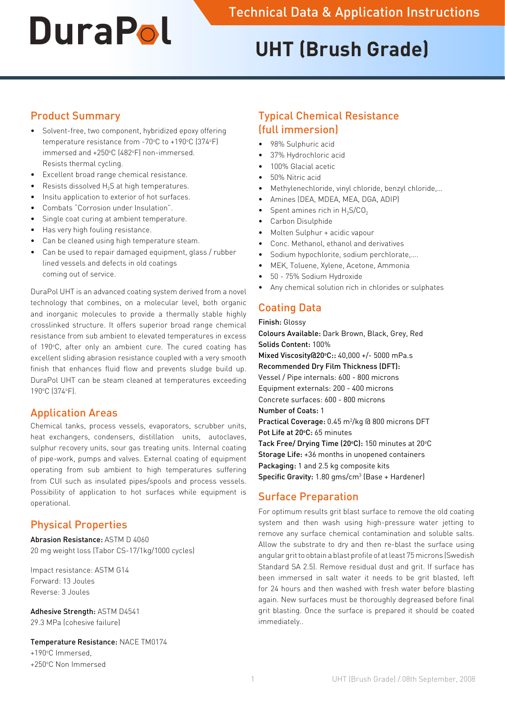# **UHT (Brush Grade)**

## Product Summary

- • Solvent-free, two component, hybridized epoxy offering temperature resistance from -70°C to +190°C (374°F) immersed and +250°C (482°F) non-immersed. Resists thermal cycling.
- Excellent broad range chemical resistance.
- Resists dissolved  $H_2S$  at high temperatures.
- Insitu application to exterior of hot surfaces.
- Combats "Corrosion under Insulation".
- Single coat curing at ambient temperature.
- Has very high fouling resistance.
- Can be cleaned using high temperature steam.
- Can be used to repair damaged equipment, glass / rubber lined vessels and defects in old coatings coming out of service.

DuraPol UHT is an advanced coating system derived from a novel technology that combines, on a molecular level, both organic and inorganic molecules to provide a thermally stable highly crosslinked structure. It offers superior broad range chemical resistance from sub ambient to elevated temperatures in excess of 190°C, after only an ambient cure. The cured coating has excellent sliding abrasion resistance coupled with a very smooth finish that enhances fluid flow and prevents sludge build up. DuraPol UHT can be steam cleaned at temperatures exceeding 190°C (374°F).

## Application Areas

Chemical tanks, process vessels, evaporators, scrubber units, heat exchangers, condensers, distillation units, autoclaves, sulphur recovery units, sour gas treating units. Internal coating of pipe-work, pumps and valves. External coating of equipment operating from sub ambient to high temperatures suffering from CUI such as insulated pipes/spools and process vessels. Possibility of application to hot surfaces while equipment is operational.

## Physical Properties

Abrasion Resistance: ASTM D 4060 20 mg weight loss (Tabor CS-17/1kg/1000 cycles)

Impact resistance: ASTM G14 Forward: 13 Joules Reverse: 3 Joules

Adhesive Strength: ASTM D4541 29.3 MPa (cohesive failure)

Temperature Resistance: NACE TM0174

+190°C Immersed, +250°C Non Immersed

# Typical Chemical Resistance (full immersion)

- 98% Sulphuric acid
- 37% Hydrochloric acid
- 100% Glacial acetic
- 50% Nitric acid
- Methylenechloride, vinyl chloride, benzyl chloride,...
- Amines (DEA, MDEA, MEA, DGA, ADIP)
- Spent amines rich in  $H_2S/CO_2$
- Carbon Disulphide
- Molten Sulphur + acidic vapour
- Conc. Methanol, ethanol and derivatives
- Sodium hypochlorite, sodium perchlorate,....
- MEK, Toluene, Xylene, Acetone, Ammonia
- • 50 75% Sodium Hydroxide
- Any chemical solution rich in chlorides or sulphates

# Coating Data

Finish: Glossy

Colours Available: Dark Brown, Black, Grey, Red Solids Content: 100% Mixed Viscosity@20°C:: 40,000 +/- 5000 mPa.s Recommended Dry Film Thickness (DFT): Vessel / Pipe internals: 600 - 800 microns Equipment externals: 200 - 400 microns Concrete surfaces: 600 - 800 microns Number of Coats: 1 Practical Coverage: 0.45 m<sup>2</sup>/kg @ 800 microns DFT Pot Life at 20°C: 65 minutes Tack Free/ Drying Time (20°C): 150 minutes at 20°C Storage Life: +36 months in unopened containers Packaging: 1 and 2.5 kg composite kits Specific Gravity: 1.80 gms/cm<sup>3</sup> (Base + Hardener)

## Surface Preparation

For optimum results grit blast surface to remove the old coating system and then wash using high-pressure water jetting to remove any surface chemical contamination and soluble salts. Allow the substrate to dry and then re-blast the surface using angular grit to obtain a blast profile of at least 75 microns (Swedish Standard SA 2.5). Remove residual dust and grit. If surface has been immersed in salt water it needs to be grit blasted, left for 24 hours and then washed with fresh water before blasting again. New surfaces must be thoroughly degreased before final grit blasting. Once the surface is prepared it should be coated immediately..